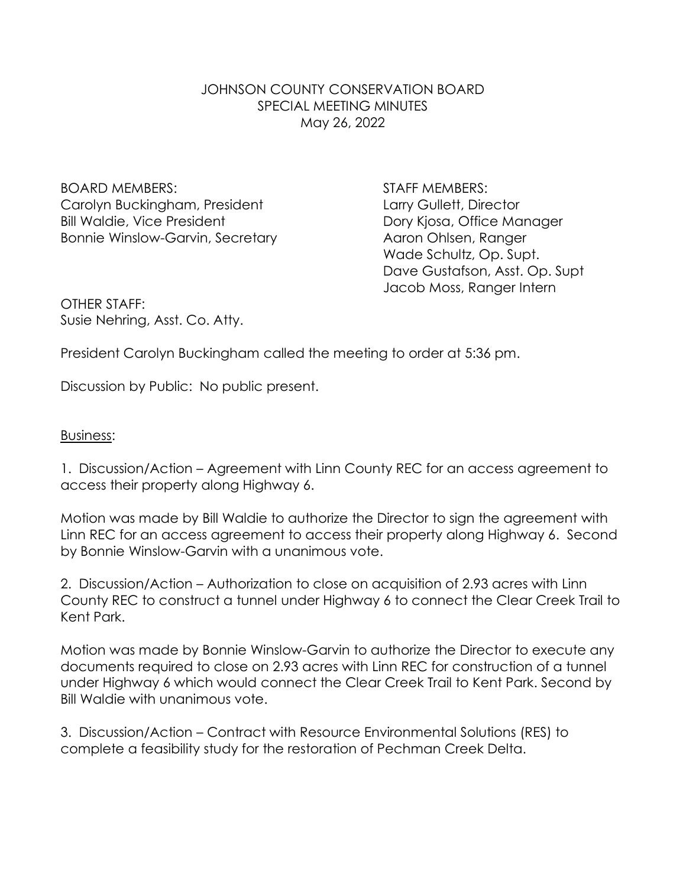# JOHNSON COUNTY CONSERVATION BOARD SPECIAL MEETING MINUTES May 26, 2022

BOARD MEMBERS: STAFF MEMBERS: Carolyn Buckingham, President Larry Gullett, Director Bill Waldie, Vice President **Dory Kiosa, Office Manager** Bonnie Winslow-Garvin, Secretary **Aaron Ohlsen, Ranger** 

Wade Schultz, Op. Supt. Dave Gustafson, Asst. Op. Supt Jacob Moss, Ranger Intern

OTHER STAFF: Susie Nehring, Asst. Co. Atty.

President Carolyn Buckingham called the meeting to order at 5:36 pm.

Discussion by Public: No public present.

# Business:

1. Discussion/Action – Agreement with Linn County REC for an access agreement to access their property along Highway 6.

Motion was made by Bill Waldie to authorize the Director to sign the agreement with Linn REC for an access agreement to access their property along Highway 6. Second by Bonnie Winslow-Garvin with a unanimous vote.

2. Discussion/Action – Authorization to close on acquisition of 2.93 acres with Linn County REC to construct a tunnel under Highway 6 to connect the Clear Creek Trail to Kent Park.

Motion was made by Bonnie Winslow-Garvin to authorize the Director to execute any documents required to close on 2.93 acres with Linn REC for construction of a tunnel under Highway 6 which would connect the Clear Creek Trail to Kent Park. Second by Bill Waldie with unanimous vote.

3. Discussion/Action – Contract with Resource Environmental Solutions (RES) to complete a feasibility study for the restoration of Pechman Creek Delta.